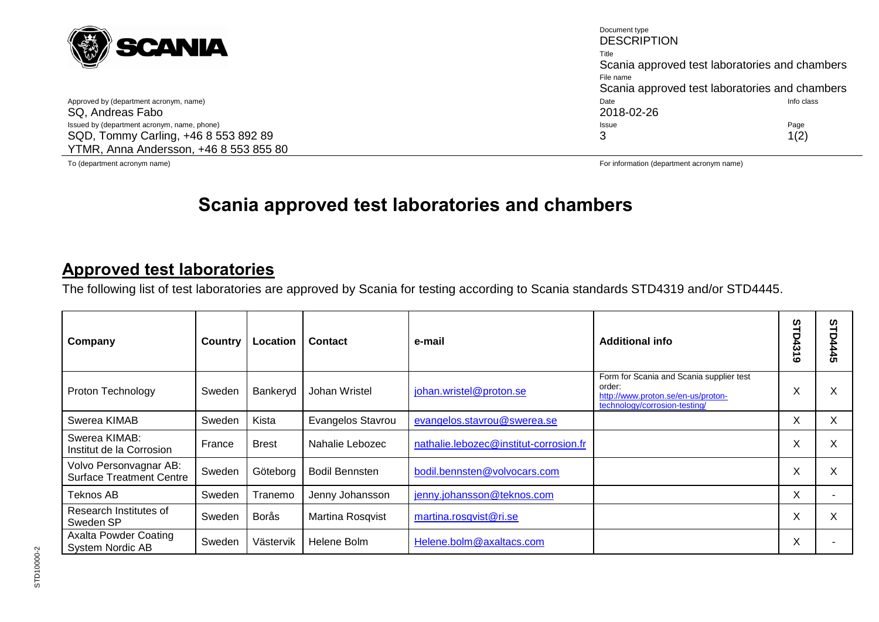

SQ, Andreas Fabo Issued by (department acronym, name, phone) **Page** Page **Page 1996** and the proposition of the Page Issue **Page** Page 1996 SQD, Tommy Carling, +46 8 553 892 89 YTMR, Anna Andersson, +46 8 553 855 80

Document type **DESCRIPTION** Title Scania approved test laboratories and chambers File name Scania approved test laboratories and chambers Approved by (department acronym, name) and the class of the class of the class of the class of the class of the class of the class of the class of the class of the class of the class of the class of the class of the class 3  $1(2)$ 

To (department acronym name) For information (department acronym name)

# **Scania approved test laboratories and chambers**

## **Approved test laboratories**

The following list of test laboratories are approved by Scania for testing according to Scania standards STD4319 and/or STD4445.

| Company                                                   | Country | Location     | Contact               | e-mail                                 | <b>Additional info</b>                                                                                                    | ဖ<br><b>D431</b><br>ဖ | ທ<br><b>D4445</b> |
|-----------------------------------------------------------|---------|--------------|-----------------------|----------------------------------------|---------------------------------------------------------------------------------------------------------------------------|-----------------------|-------------------|
| Proton Technology                                         | Sweden  | Bankeryd     | Johan Wristel         | johan.wristel@proton.se                | Form for Scania and Scania supplier test<br>order:<br>http://www.proton.se/en-us/proton-<br>technology/corrosion-testing/ | X                     | Χ                 |
| Swerea KIMAB                                              | Sweden  | Kista        | Evangelos Stavrou     | evangelos.stavrou@swerea.se            |                                                                                                                           | X                     | X.                |
| Swerea KIMAB:<br>Institut de la Corrosion                 | France  | <b>Brest</b> | Nahalie Lebozec       | nathalie.lebozec@institut-corrosion.fr |                                                                                                                           | Χ                     | Χ                 |
| Volvo Personvagnar AB:<br><b>Surface Treatment Centre</b> | Sweden  | Göteborg     | <b>Bodil Bennsten</b> | bodil.bennsten@volvocars.com           |                                                                                                                           | Χ                     | X                 |
| Teknos AB                                                 | Sweden  | Tranemo      | Jenny Johansson       | jenny.johansson@teknos.com             |                                                                                                                           | X                     |                   |
| Research Institutes of<br>Sweden SP                       | Sweden  | Borås        | Martina Rosqvist      | martina.rosqvist@ri.se                 |                                                                                                                           | X                     | X                 |
| <b>Axalta Powder Coating</b><br>System Nordic AB          | Sweden  | Västervik    | Helene Bolm           | Helene.bolm@axaltacs.com               |                                                                                                                           | X                     |                   |